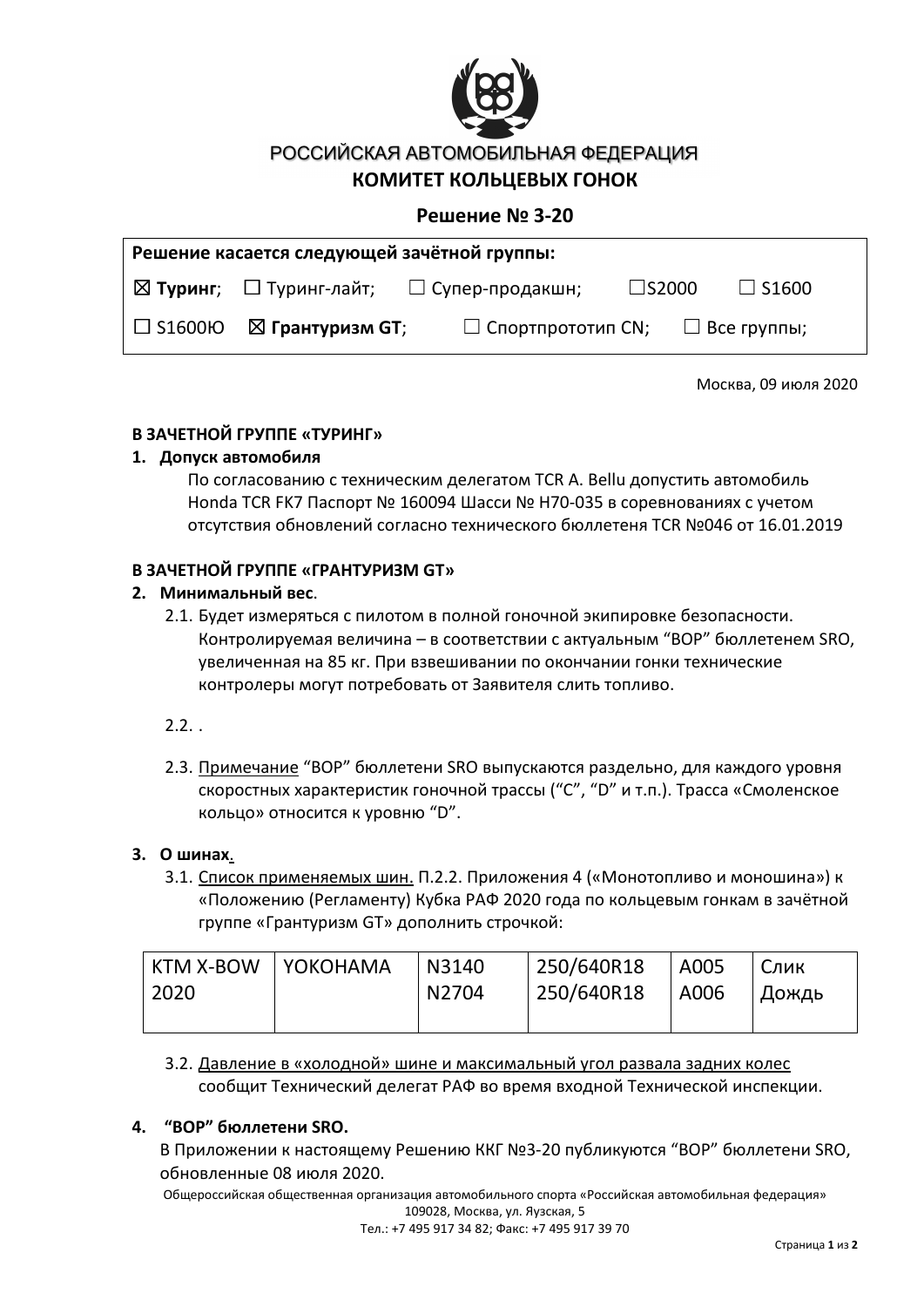

РОССИЙСКАЯ АВТОМОБИЛЬНАЯ ФЕДЕРАЦИЯ

### **КОМИТЕТ КОЛЬЦЕВЫХ ГОНОК**

### **Решение № 3-20**

| Решение касается следующей зачётной группы: |                                     |                                                                |              |              |  |  |  |  |
|---------------------------------------------|-------------------------------------|----------------------------------------------------------------|--------------|--------------|--|--|--|--|
|                                             |                                     | $\boxtimes$ Туринг; $\Box$ Туринг-лайт; $\Box$ Супер-продакшн; | $\Box$ S2000 | $\Box$ S1600 |  |  |  |  |
|                                             | $\Box$ S1600Ю $\Box$ Грантуризм GT; | $\Box$ Спортпрототип СN; $\Box$ Все группы;                    |              |              |  |  |  |  |

Москва, 09 июля 2020

#### **В ЗАЧЕТНОЙ ГРУППЕ «ТУРИНГ»**

#### **1. Допуск автомобиля**

По согласованию с техническим делегатом TCR A. Bellu допустить автомобиль Honda TCR FK7 Паспорт № 160094 Шасси № H70-035 в соревнованиях с учетом отсутствия обновлений согласно технического бюллетеня TCR №046 от 16.01.2019

#### **В ЗАЧЕТНОЙ ГРУППЕ «ГРАНТУРИЗМ GT»**

#### **2. Минимальный вес**.

- 2.1. Будет измеряться с пилотом в полной гоночной экипировке безопасности. Контролируемая величина – в соответствии с актуальным "BOP" бюллетенем SRO, увеличенная на 85 кг. При взвешивании по окончании гонки технические контролеры могут потребовать от Заявителя слить топливо.
- $2.2.$ .
- 2.3. Примечание "BOP" бюллетени SRO выпускаются раздельно, для каждого уровня скоростных характеристик гоночной трассы ("C", "D" и т.п.). Трасса «Смоленское кольцо» относится к уровню "D".

#### **3. О шинах**.

3.1. Список применяемых шин. П.2.2. Приложения 4 («Монотопливо и моношина») к «Положению (Регламенту) Кубка РАФ 2020 года по кольцевым гонкам в зачётной группе «Грантуризм GT» дополнить строчкой:

| KTM X-BOW | YOKOHAMA | N3140 | 250/640R18 | A005 | Слик    |
|-----------|----------|-------|------------|------|---------|
| 2020      |          | N2704 | 250/640R18 | A006 | , Дождь |
|           |          |       |            |      |         |

3.2. Давление в «холодной» шине и максимальный угол развала задних колес сообщит Технический делегат РАФ во время входной Технической инспекции.

#### **4. "BOP" бюллетени SRO.**

В Приложении к настоящему Решению ККГ №3-20 публикуются "BOP" бюллетени SRO, обновленные 08 июля 2020.

Общероссийская общественная организация автомобильного спорта «Российская автомобильная федерация» 109028, Москва, ул. Яузская, 5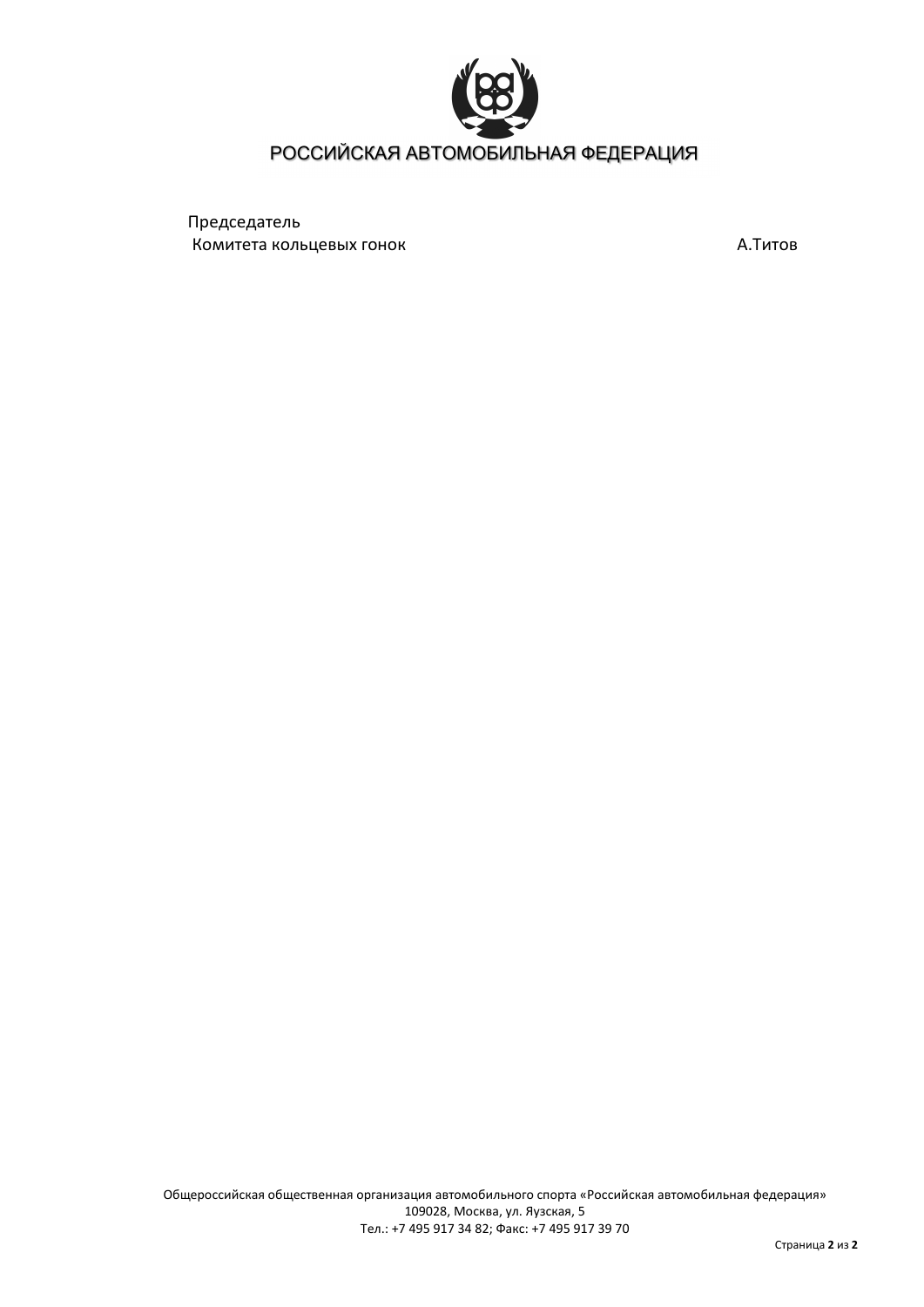

### РОССИЙСКАЯ АВТОМОБИЛЬНАЯ ФЕДЕРАЦИЯ

Председатель Комитета кольцевых гонок А.Титов А.Титов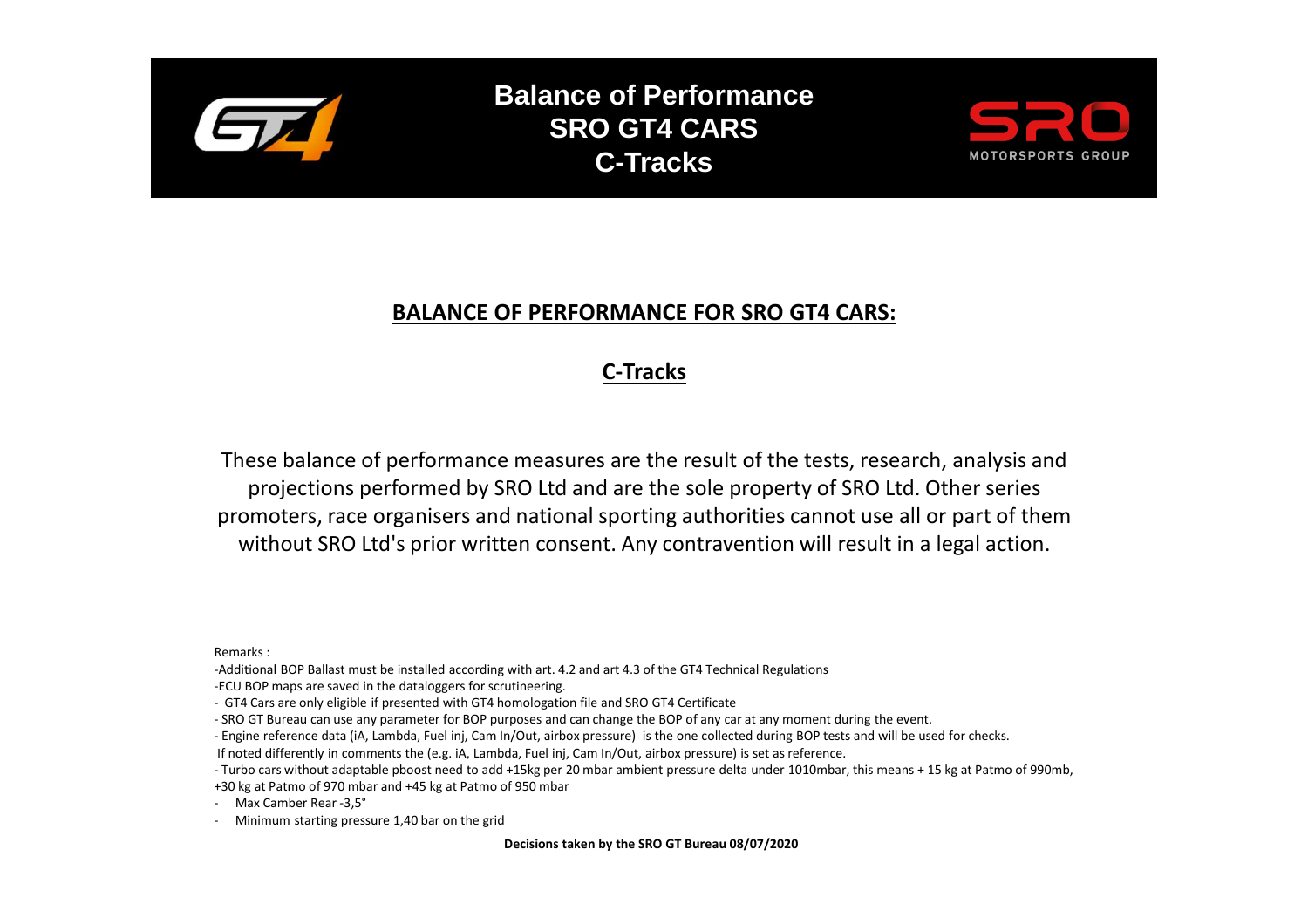

**Balance of Performance SRO GT4 CARS C-Tracks**



### **BALANCE OF PERFORMANCE FOR SRO GT4 CARS:**

## **C-Tracks**

These balance of performance measures are the result of the tests, research, analysis and projections performed by SRO Ltd and are the sole property of SRO Ltd. Other series promoters, race organisers and national sporting authorities cannot use all or part of them without SRO Ltd's prior written consent. Any contravention will result in a legal action.

Remarks :

-Additional BOP Ballast must be installed according with art. 4.2 and art 4.3 of the GT4 Technical Regulations

-ECU BOP maps are saved in the dataloggers for scrutineering.

- GT4 Cars are only eligible if presented with GT4 homologation file and SRO GT4 Certificate

- SRO GT Bureau can use any parameter for BOP purposes and can change the BOP of any car at any moment during the event.

- Engine reference data (iA, Lambda, Fuel inj, Cam In/Out, airbox pressure) is the one collected during BOP tests and will be used for checks.

If noted differently in comments the (e.g. iA, Lambda, Fuel inj, Cam In/Out, airbox pressure) is set as reference.

- Turbo cars without adaptable pboost need to add +15kg per 20 mbar ambient pressure delta under 1010mbar, this means + 15 kg at Patmo of 990mb,

+30 kg at Patmo of 970 mbar and +45 kg at Patmo of 950 mbar

- Max Camber Rear -3,5°

- Minimum starting pressure 1,40 bar on the grid

**Decisions taken by the SRO GT Bureau 08/07/2020**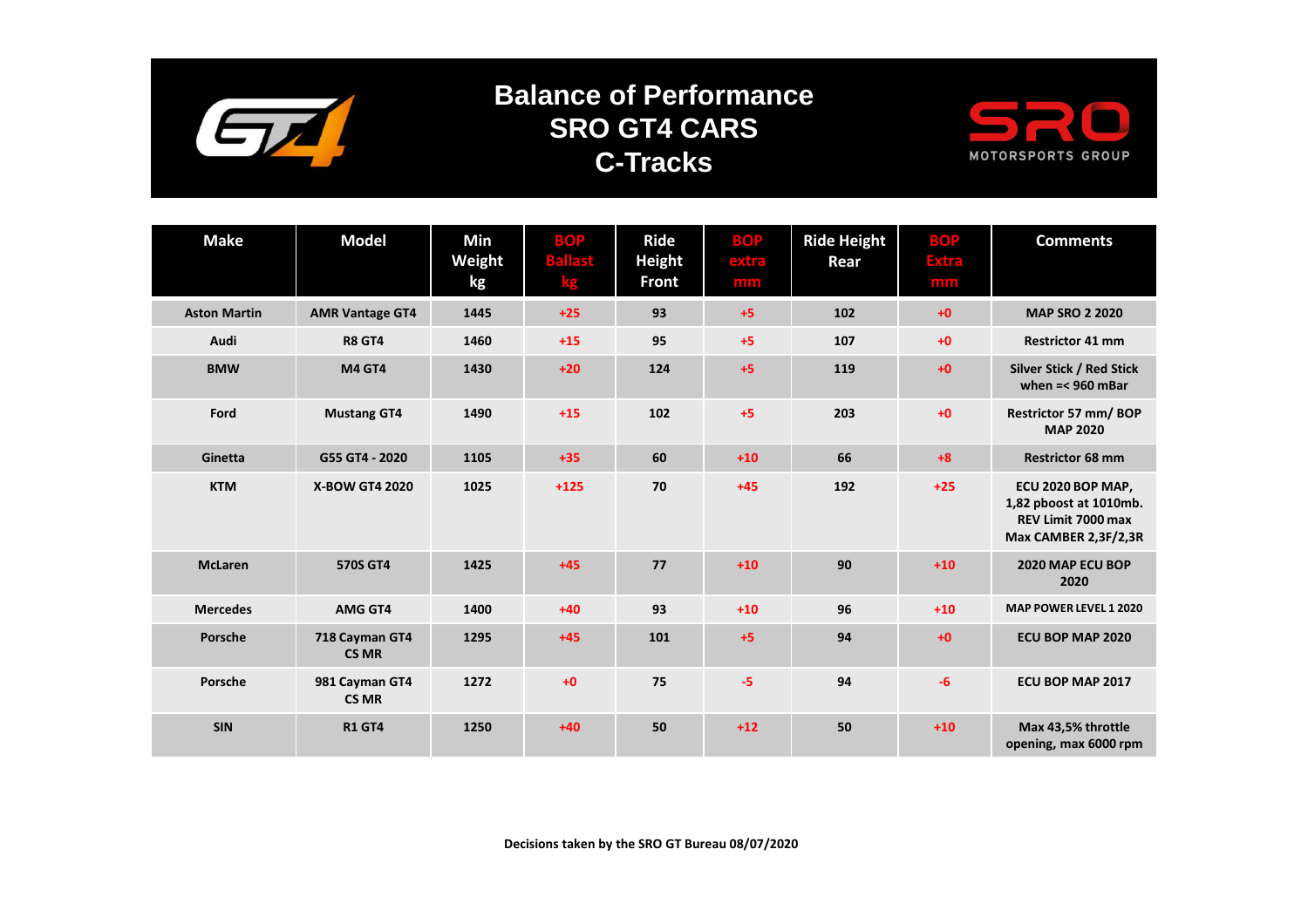

# **Balance of Performance SRO GT4 CARSC-Tracks**



| <b>Make</b>         | <b>Model</b>                   | Min<br>Weight<br>kg | <b>BOP</b><br><b>Ballast</b><br>kg | <b>Ride</b><br><b>Height</b><br><b>Front</b> | <b>BOP</b><br>extra<br>mm | <b>Ride Height</b><br>Rear | <b>BOP</b><br><b>Extra</b><br>mm | <b>Comments</b>                                                                           |
|---------------------|--------------------------------|---------------------|------------------------------------|----------------------------------------------|---------------------------|----------------------------|----------------------------------|-------------------------------------------------------------------------------------------|
| <b>Aston Martin</b> | <b>AMR Vantage GT4</b>         | 1445                | $+25$                              | 93                                           | $+5$                      | 102                        | $+0$                             | <b>MAP SRO 2 2020</b>                                                                     |
| Audi                | <b>R8 GT4</b>                  | 1460                | $+15$                              | 95                                           | $+5$                      | 107                        | $+0$                             | <b>Restrictor 41 mm</b>                                                                   |
| <b>BMW</b>          | <b>M4 GT4</b>                  | 1430                | $+20$                              | 124                                          | $+5$                      | 119                        | $+0$                             | Silver Stick / Red Stick<br>when $=<$ 960 mBar                                            |
| Ford                | <b>Mustang GT4</b>             | 1490                | $+15$                              | 102                                          | $+5$                      | 203                        | $+0$                             | Restrictor 57 mm/BOP<br><b>MAP 2020</b>                                                   |
| Ginetta             | G55 GT4 - 2020                 | 1105                | $+35$                              | 60                                           | $+10$                     | 66                         | $+8$                             | <b>Restrictor 68 mm</b>                                                                   |
| <b>KTM</b>          | <b>X-BOW GT4 2020</b>          | 1025                | $+125$                             | 70                                           | $+45$                     | 192                        | $+25$                            | ECU 2020 BOP MAP,<br>1,82 pboost at 1010mb.<br>REV Limit 7000 max<br>Max CAMBER 2,3F/2,3R |
| <b>McLaren</b>      | 570S GT4                       | 1425                | $+45$                              | 77                                           | $+10$                     | 90                         | $+10$                            | 2020 MAP ECU BOP<br>2020                                                                  |
| <b>Mercedes</b>     | AMG GT4                        | 1400                | $+40$                              | 93                                           | $+10$                     | 96                         | $+10$                            | MAP POWER LEVEL 1 2020                                                                    |
| Porsche             | 718 Cayman GT4<br><b>CS MR</b> | 1295                | $+45$                              | 101                                          | $+5$                      | 94                         | $+0$                             | ECU BOP MAP 2020                                                                          |
| Porsche             | 981 Cayman GT4<br><b>CS MR</b> | 1272                | $+0$                               | 75                                           | -5                        | 94                         | $-6$                             | ECU BOP MAP 2017                                                                          |
| <b>SIN</b>          | <b>R1 GT4</b>                  | 1250                | $+40$                              | 50                                           | $+12$                     | 50                         | $+10$                            | Max 43,5% throttle<br>opening, max 6000 rpm                                               |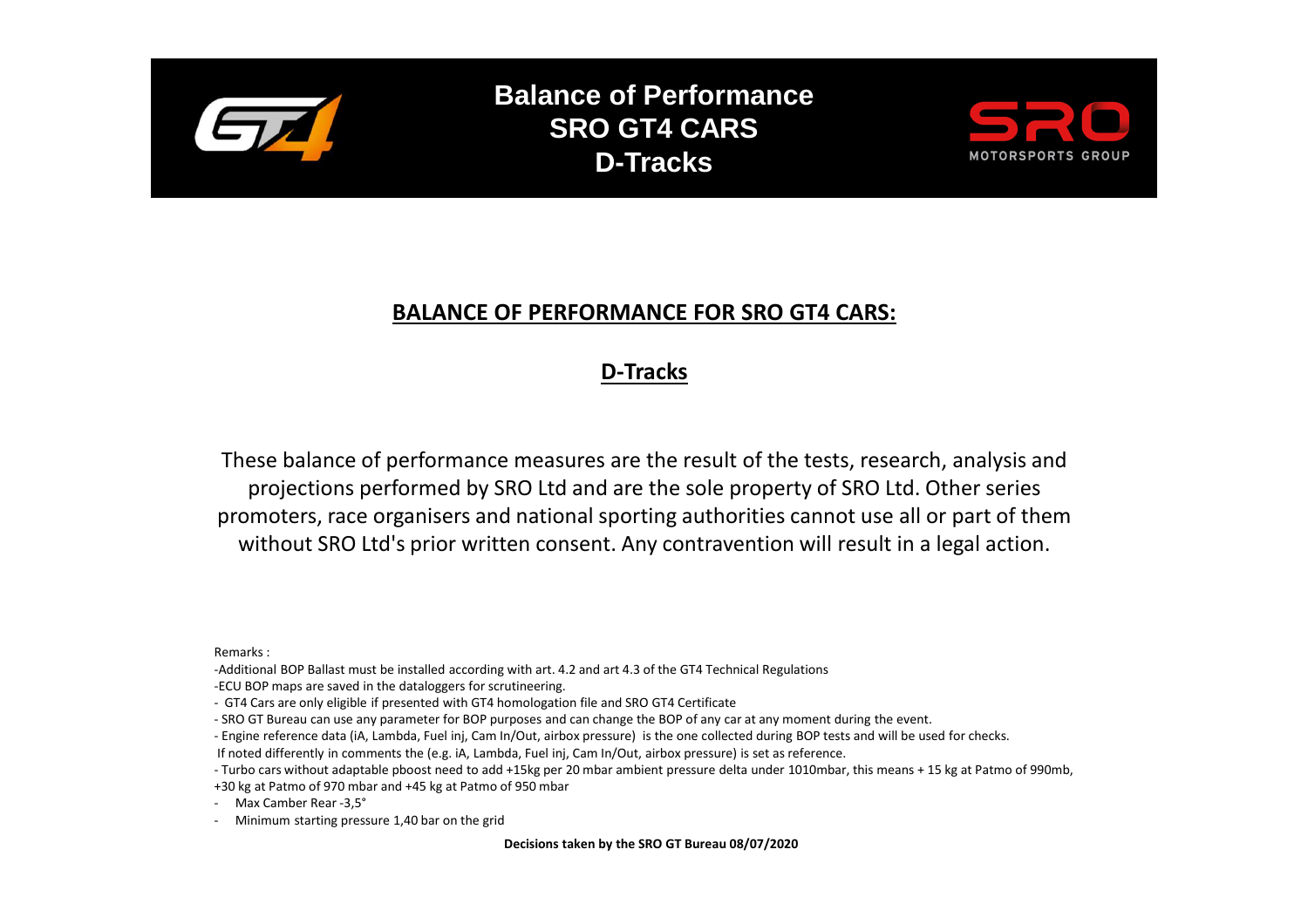

**Balance of Performance SRO GT4 CARS D-Tracks**



### **BALANCE OF PERFORMANCE FOR SRO GT4 CARS:**

## **D-Tracks**

These balance of performance measures are the result of the tests, research, analysis and projections performed by SRO Ltd and are the sole property of SRO Ltd. Other series promoters, race organisers and national sporting authorities cannot use all or part of them without SRO Ltd's prior written consent. Any contravention will result in a legal action.

Remarks :

-Additional BOP Ballast must be installed according with art. 4.2 and art 4.3 of the GT4 Technical Regulations

-ECU BOP maps are saved in the dataloggers for scrutineering.

- GT4 Cars are only eligible if presented with GT4 homologation file and SRO GT4 Certificate

- SRO GT Bureau can use any parameter for BOP purposes and can change the BOP of any car at any moment during the event.

- Engine reference data (iA, Lambda, Fuel inj, Cam In/Out, airbox pressure) is the one collected during BOP tests and will be used for checks.

If noted differently in comments the (e.g. iA, Lambda, Fuel inj, Cam In/Out, airbox pressure) is set as reference.

- Turbo cars without adaptable pboost need to add +15kg per 20 mbar ambient pressure delta under 1010mbar, this means + 15 kg at Patmo of 990mb,

+30 kg at Patmo of 970 mbar and +45 kg at Patmo of 950 mbar

- Max Camber Rear -3,5°

- Minimum starting pressure 1,40 bar on the grid

**Decisions taken by the SRO GT Bureau 08/07/2020**